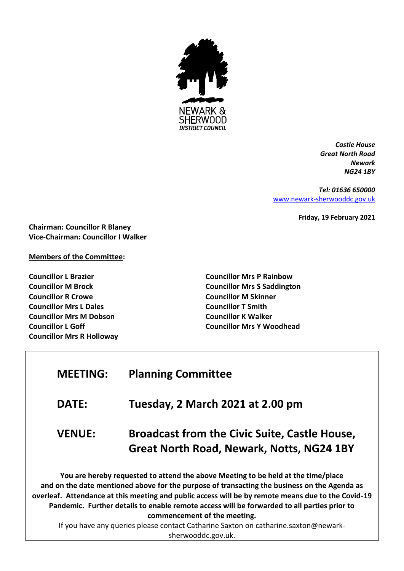

*Castle House Great North Road Newark NG24 1BY*

*Tel: 01636 650000* [www.newark-sherwooddc.gov.uk](http://www.newark-sherwooddc.gov.uk/)

**Friday, 19 February 2021**

**Chairman: Councillor R Blaney Vice-Chairman: Councillor I Walker**

#### **Members of the Committee:**

**Councillor L Brazier Councillor M Brock Councillor R Crowe Councillor Mrs L Dales Councillor Mrs M Dobson Councillor L Goff Councillor Mrs R Holloway** **Councillor Mrs P Rainbow Councillor Mrs S Saddington Councillor M Skinner Councillor T Smith Councillor K Walker Councillor Mrs Y Woodhead**

# **MEETING: Planning Committee**

### **DATE: Tuesday, 2 March 2021 at 2.00 pm**

## **VENUE: Broadcast from the Civic Suite, Castle House, Great North Road, Newark, Notts, NG24 1BY**

**You are hereby requested to attend the above Meeting to be held at the time/place and on the date mentioned above for the purpose of transacting the business on the Agenda as overleaf. Attendance at this meeting and public access will be by remote means due to the Covid-19 Pandemic. Further details to enable remote access will be forwarded to all parties prior to commencement of the meeting.**

If you have any queries please contact Catharine Saxton on catharine.saxton@newarksherwooddc.gov.uk.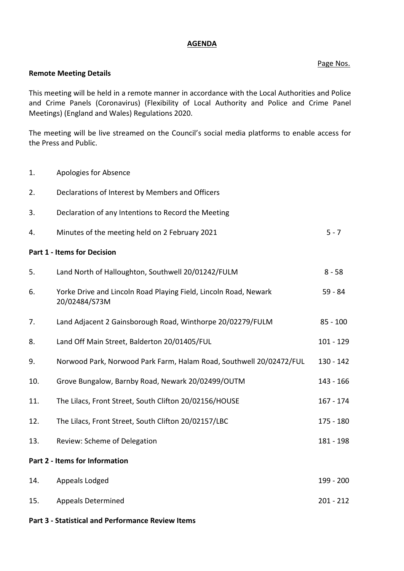#### **AGENDA**

#### Page Nos.

#### **Remote Meeting Details**

This meeting will be held in a remote manner in accordance with the Local Authorities and Police and Crime Panels (Coronavirus) (Flexibility of Local Authority and Police and Crime Panel Meetings) (England and Wales) Regulations 2020.

The meeting will be live streamed on the Council's social media platforms to enable access for the Press and Public.

- 1. Apologies for Absence
- 2. Declarations of Interest by Members and Officers
- 3. Declaration of any Intentions to Record the Meeting
- 4. Minutes of the meeting held on 2 February 2021 5 7

#### **Part 1 - Items for Decision**

| 5.                             | Land North of Halloughton, Southwell 20/01242/FULM                                | $8 - 58$    |
|--------------------------------|-----------------------------------------------------------------------------------|-------------|
| 6.                             | Yorke Drive and Lincoln Road Playing Field, Lincoln Road, Newark<br>20/02484/S73M | $59 - 84$   |
| 7.                             | Land Adjacent 2 Gainsborough Road, Winthorpe 20/02279/FULM                        | $85 - 100$  |
| 8.                             | Land Off Main Street, Balderton 20/01405/FUL                                      | $101 - 129$ |
| 9.                             | Norwood Park, Norwood Park Farm, Halam Road, Southwell 20/02472/FUL               | 130 - 142   |
| 10.                            | Grove Bungalow, Barnby Road, Newark 20/02499/OUTM                                 | 143 - 166   |
| 11.                            | The Lilacs, Front Street, South Clifton 20/02156/HOUSE                            | $167 - 174$ |
| 12.                            | The Lilacs, Front Street, South Clifton 20/02157/LBC                              | 175 - 180   |
| 13.                            | Review: Scheme of Delegation                                                      | 181 - 198   |
| Part 2 - Items for Information |                                                                                   |             |
| 14.                            | Appeals Lodged                                                                    | 199 - 200   |
| 15.                            | <b>Appeals Determined</b>                                                         | $201 - 212$ |
|                                |                                                                                   |             |

**Part 3 - Statistical and Performance Review Items**